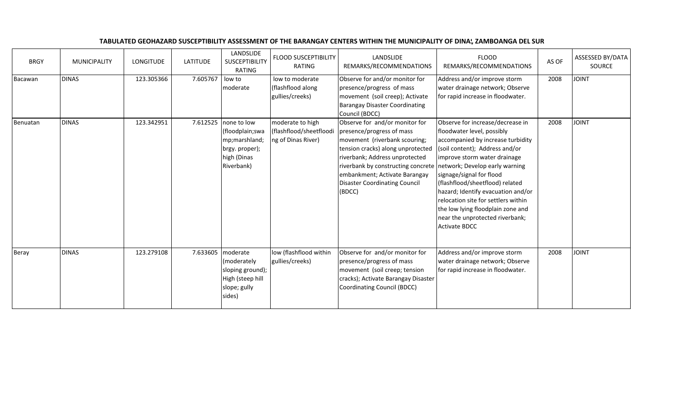| <b>BRGY</b> | <b>MUNICIPALITY</b> | LONGITUDE  | <b>LATITUDE</b> | LANDSLIDE<br>SUSCEPTIBILITY<br>RATING                                                          | <b>FLOOD SUSCEPTIBILITY</b><br>RATING                             | LANDSLIDE<br>REMARKS/RECOMMENDATIONS                                                                                                                                                                                                                                                  | <b>FLOOD</b><br>REMARKS/RECOMMENDATIONS                                                                                                                                                                                                                                                                                                                                                                                                             | AS OF | <b>ASSESSED BY/DATA</b><br><b>SOURCE</b> |
|-------------|---------------------|------------|-----------------|------------------------------------------------------------------------------------------------|-------------------------------------------------------------------|---------------------------------------------------------------------------------------------------------------------------------------------------------------------------------------------------------------------------------------------------------------------------------------|-----------------------------------------------------------------------------------------------------------------------------------------------------------------------------------------------------------------------------------------------------------------------------------------------------------------------------------------------------------------------------------------------------------------------------------------------------|-------|------------------------------------------|
| Bacawan     | <b>DINAS</b>        | 123.305366 | 7.605767        | low to<br>moderate                                                                             | low to moderate<br>(flashflood along<br>gullies/creeks)           | Observe for and/or monitor for<br>presence/progress of mass<br>movement (soil creep); Activate<br><b>Barangay Disaster Coordinating</b><br>Council (BDCC)                                                                                                                             | Address and/or improve storm<br>water drainage network; Observe<br>for rapid increase in floodwater.                                                                                                                                                                                                                                                                                                                                                | 2008  | <b>JOINT</b>                             |
| Benuatan    | <b>DINAS</b>        | 123.342951 | 7.612525        | none to low<br>(floodplain;swa<br>mp;marshland;<br>brgy. proper);<br>high (Dinas<br>Riverbank) | moderate to high<br>(flashflood/sheetfloodi<br>ng of Dinas River) | Observe for and/or monitor for<br>presence/progress of mass<br>movement (riverbank scouring;<br>tension cracks) along unprotected<br>riverbank; Address unprotected<br>riverbank by constructing concrete<br>embankment; Activate Barangay<br>Disaster Coordinating Council<br>(BDCC) | Observe for increase/decrease in<br>floodwater level, possibly<br>accompanied by increase turbidity<br>(soil content); Address and/or<br>improve storm water drainage<br>network; Develop early warning<br>signage/signal for flood<br>(flashflood/sheetflood) related<br>hazard; Identify evacuation and/or<br>relocation site for settlers within<br>the low lying floodplain zone and<br>near the unprotected riverbank;<br><b>Activate BDCC</b> | 2008  | <b>JOINT</b>                             |
| Beray       | <b>DINAS</b>        | 123.279108 | 7.633605        | moderate<br>(moderately<br>sloping ground);<br>High (steep hill<br>slope; gully<br>sides)      | low (flashflood within<br>gullies/creeks)                         | Observe for and/or monitor for<br>presence/progress of mass<br>movement (soil creep; tension<br>cracks); Activate Barangay Disaster<br>Coordinating Council (BDCC)                                                                                                                    | Address and/or improve storm<br>water drainage network; Observe<br>for rapid increase in floodwater.                                                                                                                                                                                                                                                                                                                                                | 2008  | <b>JOINT</b>                             |

## TABULATED GEOHAZARD SUSCEPTIBILITY ASSESSMENT OF THE BARANGAY CENTERS WITHIN THE MUNICIPALITY OF DINAS, ZAMBOANGA DEL SUR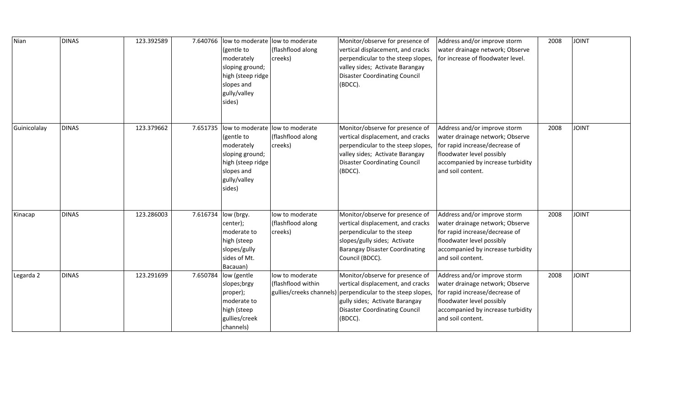| Nian         | <b>DINAS</b> | 123.392589 | 7.640766 | low to moderate low to moderate<br>(gentle to<br>moderately<br>sloping ground;<br>high (steep ridge<br>slopes and<br>gully/valley<br>sides) | (flashflood along<br>creeks)                                      | Monitor/observe for presence of<br>vertical displacement, and cracks<br>perpendicular to the steep slopes,<br>valley sides; Activate Barangay<br><b>Disaster Coordinating Council</b><br>(BDCC). | Address and/or improve storm<br>water drainage network; Observe<br>for increase of floodwater level.                                                                                     | 2008 | <b>JOINT</b>  |
|--------------|--------------|------------|----------|---------------------------------------------------------------------------------------------------------------------------------------------|-------------------------------------------------------------------|--------------------------------------------------------------------------------------------------------------------------------------------------------------------------------------------------|------------------------------------------------------------------------------------------------------------------------------------------------------------------------------------------|------|---------------|
| Guinicolalay | <b>DINAS</b> | 123.379662 | 7.651735 | low to moderate<br>(gentle to<br>moderately<br>sloping ground;<br>high (steep ridge<br>slopes and<br>gully/valley<br>sides)                 | low to moderate<br>(flashflood along<br>creeks)                   | Monitor/observe for presence of<br>vertical displacement, and cracks<br>perpendicular to the steep slopes,<br>valley sides; Activate Barangay<br><b>Disaster Coordinating Council</b><br>(BDCC). | Address and/or improve storm<br>water drainage network; Observe<br>for rapid increase/decrease of<br>floodwater level possibly<br>accompanied by increase turbidity<br>and soil content. | 2008 | <b>TINIOL</b> |
| Kinacap      | <b>DINAS</b> | 123.286003 | 7.616734 | low (brgy.<br>center);<br>moderate to<br>high (steep<br>slopes/gully<br>sides of Mt.<br>Bacauan)                                            | low to moderate<br>(flashflood along<br>creeks)                   | Monitor/observe for presence of<br>vertical displacement, and cracks<br>perpendicular to the steep<br>slopes/gully sides; Activate<br><b>Barangay Disaster Coordinating</b><br>Council (BDCC).   | Address and/or improve storm<br>water drainage network; Observe<br>for rapid increase/decrease of<br>floodwater level possibly<br>accompanied by increase turbidity<br>and soil content. | 2008 | <b>TVIOL</b>  |
| Legarda 2    | <b>DINAS</b> | 123.291699 |          | 7.650784  low (gentle<br>slopes;brgy<br>proper);<br>moderate to<br>high (steep<br>gullies/creek<br>channels)                                | low to moderate<br>(flashflood within<br>gullies/creeks channels) | Monitor/observe for presence of<br>vertical displacement, and cracks<br>perpendicular to the steep slopes,<br>gully sides; Activate Barangay<br><b>Disaster Coordinating Council</b><br>(BDCC).  | Address and/or improve storm<br>water drainage network; Observe<br>for rapid increase/decrease of<br>floodwater level possibly<br>accompanied by increase turbidity<br>and soil content. | 2008 | <b>TAIOL</b>  |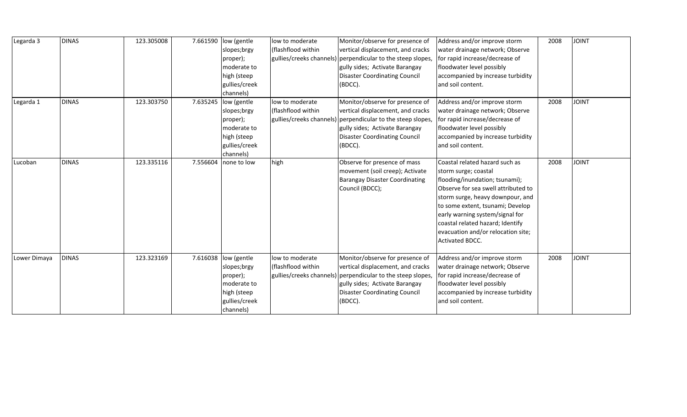| Legarda 3    | <b>DINAS</b> | 123.305008 | 7.661590 | low (gentle<br>slopes;brgy | low to moderate<br>(flashflood within | Monitor/observe for presence of<br>vertical displacement, and cracks | Address and/or improve storm<br>water drainage network; Observe | 2008 | <b>JOINT</b> |
|--------------|--------------|------------|----------|----------------------------|---------------------------------------|----------------------------------------------------------------------|-----------------------------------------------------------------|------|--------------|
|              |              |            |          | proper);                   |                                       | gullies/creeks channels) perpendicular to the steep slopes,          | for rapid increase/decrease of                                  |      |              |
|              |              |            |          | moderate to                |                                       | gully sides; Activate Barangay                                       | floodwater level possibly                                       |      |              |
|              |              |            |          | high (steep                |                                       | <b>Disaster Coordinating Council</b>                                 | accompanied by increase turbidity                               |      |              |
|              |              |            |          | gullies/creek              |                                       | (BDCC).                                                              | and soil content.                                               |      |              |
|              |              |            |          | channels)                  |                                       |                                                                      |                                                                 |      |              |
| Legarda 1    | <b>DINAS</b> | 123.303750 | 7.635245 | low (gentle                | low to moderate                       | Monitor/observe for presence of                                      | Address and/or improve storm                                    | 2008 | <b>JOINT</b> |
|              |              |            |          | slopes;brgy                | flashflood within                     | vertical displacement, and cracks                                    | water drainage network; Observe                                 |      |              |
|              |              |            |          | proper);                   |                                       | gullies/creeks channels) perpendicular to the steep slopes,          | for rapid increase/decrease of                                  |      |              |
|              |              |            |          | moderate to                |                                       | gully sides; Activate Barangay                                       | floodwater level possibly                                       |      |              |
|              |              |            |          | high (steep                |                                       | <b>Disaster Coordinating Council</b>                                 | accompanied by increase turbidity                               |      |              |
|              |              |            |          | gullies/creek              |                                       | (BDCC).                                                              | and soil content.                                               |      |              |
|              |              |            |          | channels)                  |                                       |                                                                      |                                                                 |      |              |
| Lucoban      | <b>DINAS</b> | 123.335116 | 7.556604 | none to low                | high                                  | Observe for presence of mass                                         | Coastal related hazard such as                                  | 2008 | <b>JOINT</b> |
|              |              |            |          |                            |                                       | movement (soil creep); Activate                                      | storm surge; coastal                                            |      |              |
|              |              |            |          |                            |                                       | <b>Barangay Disaster Coordinating</b>                                | flooding/inundation; tsunami);                                  |      |              |
|              |              |            |          |                            |                                       | Council (BDCC);                                                      | Observe for sea swell attributed to                             |      |              |
|              |              |            |          |                            |                                       |                                                                      | storm surge, heavy downpour, and                                |      |              |
|              |              |            |          |                            |                                       |                                                                      | to some extent, tsunami; Develop                                |      |              |
|              |              |            |          |                            |                                       |                                                                      | early warning system/signal for                                 |      |              |
|              |              |            |          |                            |                                       |                                                                      | coastal related hazard; Identify                                |      |              |
|              |              |            |          |                            |                                       |                                                                      | evacuation and/or relocation site;                              |      |              |
|              |              |            |          |                            |                                       |                                                                      | Activated BDCC.                                                 |      |              |
|              |              |            |          |                            |                                       |                                                                      |                                                                 |      |              |
| Lower Dimaya | <b>DINAS</b> | 123.323169 | 7.616038 | low (gentle                | low to moderate                       | Monitor/observe for presence of                                      | Address and/or improve storm                                    | 2008 | <b>JOINT</b> |
|              |              |            |          | slopes;brgy                | (flashflood within                    | vertical displacement, and cracks                                    | water drainage network; Observe                                 |      |              |
|              |              |            |          | proper);                   |                                       | gullies/creeks channels) perpendicular to the steep slopes,          | for rapid increase/decrease of                                  |      |              |
|              |              |            |          | moderate to                |                                       | gully sides; Activate Barangay                                       | floodwater level possibly                                       |      |              |
|              |              |            |          | high (steep                |                                       | <b>Disaster Coordinating Council</b>                                 | accompanied by increase turbidity                               |      |              |
|              |              |            |          | gullies/creek              |                                       | (BDCC).                                                              | and soil content.                                               |      |              |
|              |              |            |          | channels)                  |                                       |                                                                      |                                                                 |      |              |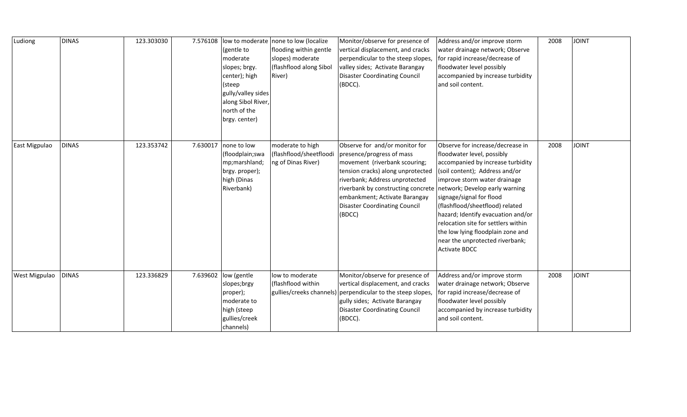| Ludiong              | <b>DINAS</b> | 123.303030 | 7.576108 | (gentle to<br>moderate<br>slopes; brgy.<br>center); high<br>(steep<br>gully/valley sides<br>along Sibol River,<br>north of the<br>brgy. center) | low to moderate none to low (localize<br>flooding within gentle<br>slopes) moderate<br>(flashflood along Sibol<br>River) | Monitor/observe for presence of<br>vertical displacement, and cracks<br>perpendicular to the steep slopes,<br>valley sides; Activate Barangay<br><b>Disaster Coordinating Council</b><br>(BDCC).                                                                                             | Address and/or improve storm<br>water drainage network; Observe<br>for rapid increase/decrease of<br>floodwater level possibly<br>accompanied by increase turbidity<br>and soil content.                                                                                                                                                                                                                                                            | 2008 | <b>JOINT</b> |
|----------------------|--------------|------------|----------|-------------------------------------------------------------------------------------------------------------------------------------------------|--------------------------------------------------------------------------------------------------------------------------|----------------------------------------------------------------------------------------------------------------------------------------------------------------------------------------------------------------------------------------------------------------------------------------------|-----------------------------------------------------------------------------------------------------------------------------------------------------------------------------------------------------------------------------------------------------------------------------------------------------------------------------------------------------------------------------------------------------------------------------------------------------|------|--------------|
| East Migpulao        | <b>DINAS</b> | 123.353742 |          | 7.630017 none to low<br>(floodplain;swa<br>mp;marshland;<br>brgy. proper);<br>high (Dinas<br>Riverbank)                                         | moderate to high<br>(flashflood/sheetfloodi<br>ng of Dinas River)                                                        | Observe for and/or monitor for<br>presence/progress of mass<br>movement (riverbank scouring;<br>tension cracks) along unprotected<br>riverbank; Address unprotected<br>riverbank by constructing concrete<br>embankment; Activate Barangay<br><b>Disaster Coordinating Council</b><br>(BDCC) | Observe for increase/decrease in<br>floodwater level, possibly<br>accompanied by increase turbidity<br>(soil content); Address and/or<br>improve storm water drainage<br>network; Develop early warning<br>signage/signal for flood<br>(flashflood/sheetflood) related<br>hazard; Identify evacuation and/or<br>relocation site for settlers within<br>the low lying floodplain zone and<br>near the unprotected riverbank;<br><b>Activate BDCC</b> | 2008 | <b>JOINT</b> |
| <b>West Migpulao</b> | <b>DINAS</b> | 123.336829 |          | 7.639602  low (gentle<br>slopes;brgy<br>proper);<br>moderate to<br>high (steep<br>gullies/creek<br>channels)                                    | low to moderate<br>(flashflood within                                                                                    | Monitor/observe for presence of<br>vertical displacement, and cracks<br>gullies/creeks channels) perpendicular to the steep slopes,<br>gully sides; Activate Barangay<br><b>Disaster Coordinating Council</b><br>(BDCC).                                                                     | Address and/or improve storm<br>water drainage network; Observe<br>for rapid increase/decrease of<br>floodwater level possibly<br>accompanied by increase turbidity<br>and soil content.                                                                                                                                                                                                                                                            | 2008 | <b>JOINT</b> |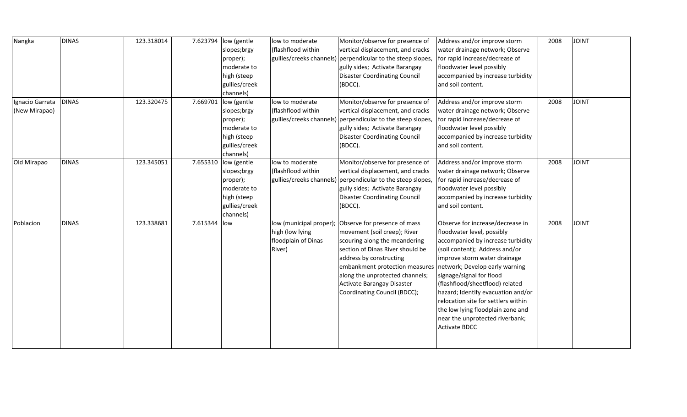| Nangka          | <b>DINAS</b> | 123.318014 | 7.623794 | low (gentle   | low to moderate         | Monitor/observe for presence of                             | Address and/or improve storm        | 2008 | <b>JOINT</b> |
|-----------------|--------------|------------|----------|---------------|-------------------------|-------------------------------------------------------------|-------------------------------------|------|--------------|
|                 |              |            |          | slopes;brgy   | (flashflood within      | vertical displacement, and cracks                           | water drainage network; Observe     |      |              |
|                 |              |            |          | proper);      |                         | gullies/creeks channels) perpendicular to the steep slopes, | for rapid increase/decrease of      |      |              |
|                 |              |            |          | moderate to   |                         | gully sides; Activate Barangay                              | floodwater level possibly           |      |              |
|                 |              |            |          | high (steep   |                         | <b>Disaster Coordinating Council</b>                        | accompanied by increase turbidity   |      |              |
|                 |              |            |          | gullies/creek |                         | (BDCC).                                                     | and soil content.                   |      |              |
|                 |              |            |          | channels)     |                         |                                                             |                                     |      |              |
| Ignacio Garrata | <b>DINAS</b> | 123.320475 | 7.669701 | low (gentle   | low to moderate         | Monitor/observe for presence of                             | Address and/or improve storm        | 2008 | <b>JOINT</b> |
| (New Mirapao)   |              |            |          | slopes;brgy   | (flashflood within      | vertical displacement, and cracks                           | water drainage network; Observe     |      |              |
|                 |              |            |          | proper);      |                         | gullies/creeks channels) perpendicular to the steep slopes, | for rapid increase/decrease of      |      |              |
|                 |              |            |          | moderate to   |                         | gully sides; Activate Barangay                              | floodwater level possibly           |      |              |
|                 |              |            |          | high (steep   |                         | <b>Disaster Coordinating Council</b>                        | accompanied by increase turbidity   |      |              |
|                 |              |            |          | gullies/creek |                         | (BDCC).                                                     | and soil content.                   |      |              |
|                 |              |            |          | channels)     |                         |                                                             |                                     |      |              |
| Old Mirapao     | <b>DINAS</b> | 123.345051 | 7.655310 | low (gentle   | low to moderate         | Monitor/observe for presence of                             | Address and/or improve storm        | 2008 | <b>JOINT</b> |
|                 |              |            |          | slopes;brgy   | (flashflood within      | vertical displacement, and cracks                           | water drainage network; Observe     |      |              |
|                 |              |            |          | proper);      |                         | gullies/creeks channels) perpendicular to the steep slopes, | for rapid increase/decrease of      |      |              |
|                 |              |            |          | moderate to   |                         | gully sides; Activate Barangay                              | floodwater level possibly           |      |              |
|                 |              |            |          | high (steep   |                         | <b>Disaster Coordinating Council</b>                        | accompanied by increase turbidity   |      |              |
|                 |              |            |          | gullies/creek |                         | (BDCC).                                                     | and soil content.                   |      |              |
|                 |              |            |          | channels)     |                         |                                                             |                                     |      |              |
| Poblacion       | <b>DINAS</b> | 123.338681 | 7.615344 | low           | low (municipal proper); | Observe for presence of mass                                | Observe for increase/decrease in    | 2008 | <b>JOINT</b> |
|                 |              |            |          |               | high (low lying         | movement (soil creep); River                                | floodwater level, possibly          |      |              |
|                 |              |            |          |               | floodplain of Dinas     | scouring along the meandering                               | accompanied by increase turbidity   |      |              |
|                 |              |            |          |               | River)                  | section of Dinas River should be                            | (soil content); Address and/or      |      |              |
|                 |              |            |          |               |                         | address by constructing                                     | improve storm water drainage        |      |              |
|                 |              |            |          |               |                         | embankment protection measures                              | network; Develop early warning      |      |              |
|                 |              |            |          |               |                         | along the unprotected channels;                             | signage/signal for flood            |      |              |
|                 |              |            |          |               |                         | Activate Barangay Disaster                                  | (flashflood/sheetflood) related     |      |              |
|                 |              |            |          |               |                         | Coordinating Council (BDCC);                                | hazard; Identify evacuation and/or  |      |              |
|                 |              |            |          |               |                         |                                                             | relocation site for settlers within |      |              |
|                 |              |            |          |               |                         |                                                             | the low lying floodplain zone and   |      |              |
|                 |              |            |          |               |                         |                                                             | near the unprotected riverbank;     |      |              |
|                 |              |            |          |               |                         |                                                             | <b>Activate BDCC</b>                |      |              |
|                 |              |            |          |               |                         |                                                             |                                     |      |              |
|                 |              |            |          |               |                         |                                                             |                                     |      |              |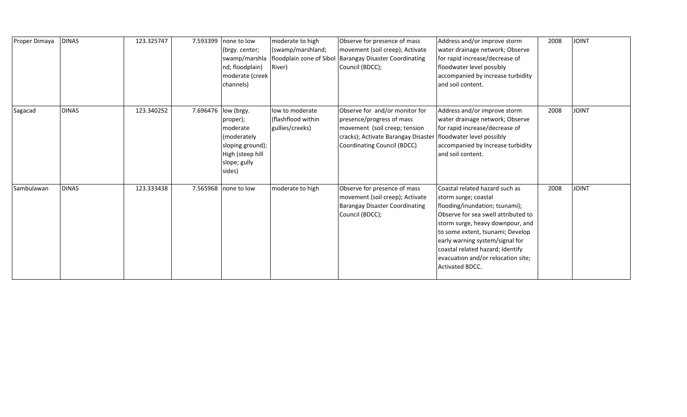| Proper Dimaya | <b>DINAS</b> | 123.325747 | 7.593399 | none to low<br>(brgy. center;<br>nd; floodplain)<br>moderate (creek<br>channels)                                    | moderate to high<br>(swamp/marshland;<br>River)          | Observe for presence of mass<br>movement (soil creep); Activate<br>swamp/marshla   floodplain zone of Sibol   Barangay Disaster Coordinating<br>Council (BDCC);    | Address and/or improve storm<br>water drainage network; Observe<br>for rapid increase/decrease of<br>floodwater level possibly<br>accompanied by increase turbidity<br>and soil content.                                                                                                                                                | 2008 | <b>JOINT</b> |
|---------------|--------------|------------|----------|---------------------------------------------------------------------------------------------------------------------|----------------------------------------------------------|--------------------------------------------------------------------------------------------------------------------------------------------------------------------|-----------------------------------------------------------------------------------------------------------------------------------------------------------------------------------------------------------------------------------------------------------------------------------------------------------------------------------------|------|--------------|
| Sagacad       | <b>DINAS</b> | 123.340252 | 7.696476 | low (brgy.<br>proper);<br>moderate<br>(moderately<br>sloping ground);<br>High (steep hill<br>slope; gully<br>sides) | low to moderate<br>(flashflood within<br>gullies/creeks) | Observe for and/or monitor for<br>presence/progress of mass<br>movement (soil creep; tension<br>cracks); Activate Barangay Disaster<br>Coordinating Council (BDCC) | Address and/or improve storm<br>water drainage network; Observe<br>for rapid increase/decrease of<br>floodwater level possibly<br>accompanied by increase turbidity<br>and soil content.                                                                                                                                                | 2008 | <b>JOINT</b> |
| Sambulawan    | <b>DINAS</b> | 123.333438 | 7.565968 | none to low                                                                                                         | moderate to high                                         | Observe for presence of mass<br>movement (soil creep); Activate<br><b>Barangay Disaster Coordinating</b><br>Council (BDCC);                                        | Coastal related hazard such as<br>storm surge; coastal<br>flooding/inundation; tsunami);<br>Observe for sea swell attributed to<br>storm surge, heavy downpour, and<br>to some extent, tsunami; Develop<br>early warning system/signal for<br>coastal related hazard; Identify<br>evacuation and/or relocation site;<br>Activated BDCC. | 2008 | <b>JOINT</b> |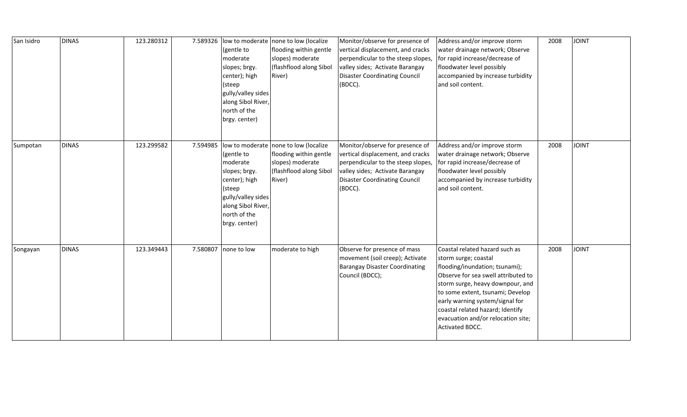| San Isidro | <b>DINAS</b> | 123.280312 | 7.589326 | (gentle to<br>moderate<br>slopes; brgy.<br>center); high<br>(steep<br>gully/valley sides<br>along Sibol River,<br>north of the<br>brgy. center) | low to moderate none to low (localize<br>flooding within gentle<br>slopes) moderate<br>(flashflood along Sibol<br>River) | Monitor/observe for presence of<br>vertical displacement, and cracks<br>perpendicular to the steep slopes,<br>valley sides; Activate Barangay<br><b>Disaster Coordinating Council</b><br>(BDCC). | Address and/or improve storm<br>water drainage network; Observe<br>for rapid increase/decrease of<br>floodwater level possibly<br>accompanied by increase turbidity<br>and soil content.                                                                                                                                                       | 2008 | <b>JOINT</b> |
|------------|--------------|------------|----------|-------------------------------------------------------------------------------------------------------------------------------------------------|--------------------------------------------------------------------------------------------------------------------------|--------------------------------------------------------------------------------------------------------------------------------------------------------------------------------------------------|------------------------------------------------------------------------------------------------------------------------------------------------------------------------------------------------------------------------------------------------------------------------------------------------------------------------------------------------|------|--------------|
| Sumpotan   | <b>DINAS</b> | 123.299582 | 7.594985 | (gentle to<br>moderate<br>slopes; brgy.<br>center); high<br>(steep<br>gully/valley sides<br>along Sibol River,<br>north of the<br>brgy. center) | low to moderate none to low (localize<br>flooding within gentle<br>slopes) moderate<br>(flashflood along Sibol<br>River) | Monitor/observe for presence of<br>vertical displacement, and cracks<br>perpendicular to the steep slopes,<br>valley sides; Activate Barangay<br><b>Disaster Coordinating Council</b><br>(BDCC). | Address and/or improve storm<br>water drainage network; Observe<br>for rapid increase/decrease of<br>floodwater level possibly<br>accompanied by increase turbidity<br>and soil content.                                                                                                                                                       | 2008 | <b>JOINT</b> |
| Songayan   | <b>DINAS</b> | 123.349443 |          | 7.580807 none to low                                                                                                                            | moderate to high                                                                                                         | Observe for presence of mass<br>movement (soil creep); Activate<br><b>Barangay Disaster Coordinating</b><br>Council (BDCC);                                                                      | Coastal related hazard such as<br>storm surge; coastal<br>flooding/inundation; tsunami);<br>Observe for sea swell attributed to<br>storm surge, heavy downpour, and<br>to some extent, tsunami; Develop<br>early warning system/signal for<br>coastal related hazard; Identify<br>evacuation and/or relocation site;<br><b>Activated BDCC.</b> | 2008 | <b>JOINT</b> |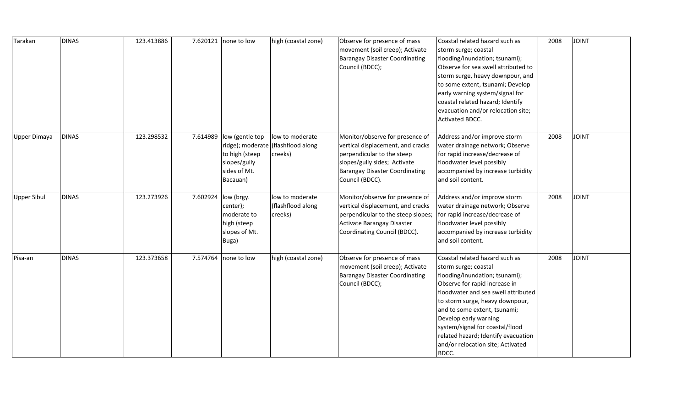| Tarakan             | <b>DINAS</b> | 123.413886 |          | 7.620121 none to low                                                                    | high (coastal zone)                                              | Observe for presence of mass<br>movement (soil creep); Activate<br><b>Barangay Disaster Coordinating</b><br>Council (BDCC);                                                                    | Coastal related hazard such as<br>storm surge; coastal<br>flooding/inundation; tsunami);<br>Observe for sea swell attributed to<br>storm surge, heavy downpour, and<br>to some extent, tsunami; Develop<br>early warning system/signal for<br>coastal related hazard; Identify<br>evacuation and/or relocation site;<br>Activated BDCC.                                              | 2008 | <b>JOINT</b> |
|---------------------|--------------|------------|----------|-----------------------------------------------------------------------------------------|------------------------------------------------------------------|------------------------------------------------------------------------------------------------------------------------------------------------------------------------------------------------|--------------------------------------------------------------------------------------------------------------------------------------------------------------------------------------------------------------------------------------------------------------------------------------------------------------------------------------------------------------------------------------|------|--------------|
| <b>Upper Dimaya</b> | <b>DINAS</b> | 123.298532 | 7.614989 | low (gentle top<br>to high (steep<br>slopes/gully<br>sides of Mt.<br>Bacauan)           | low to moderate<br>ridge); moderate (flashflood along<br>creeks) | Monitor/observe for presence of<br>vertical displacement, and cracks<br>perpendicular to the steep<br>slopes/gully sides; Activate<br><b>Barangay Disaster Coordinating</b><br>Council (BDCC). | Address and/or improve storm<br>water drainage network; Observe<br>for rapid increase/decrease of<br>floodwater level possibly<br>accompanied by increase turbidity<br>and soil content.                                                                                                                                                                                             | 2008 | <b>JOINT</b> |
| <b>Upper Sibul</b>  | <b>DINAS</b> | 123.273926 |          | 7.602924 low (brgy.<br>center);<br>moderate to<br>high (steep<br>slopes of Mt.<br>Buga) | low to moderate<br>(flashflood along<br>creeks)                  | Monitor/observe for presence of<br>vertical displacement, and cracks<br>perpendicular to the steep slopes;<br>Activate Barangay Disaster<br>Coordinating Council (BDCC).                       | Address and/or improve storm<br>water drainage network; Observe<br>for rapid increase/decrease of<br>floodwater level possibly<br>accompanied by increase turbidity<br>and soil content.                                                                                                                                                                                             | 2008 | <b>JOINT</b> |
| Pisa-an             | <b>DINAS</b> | 123.373658 |          | 7.574764 none to low                                                                    | high (coastal zone)                                              | Observe for presence of mass<br>movement (soil creep); Activate<br><b>Barangay Disaster Coordinating</b><br>Council (BDCC);                                                                    | Coastal related hazard such as<br>storm surge; coastal<br>flooding/inundation; tsunami);<br>Observe for rapid increase in<br>floodwater and sea swell attributed<br>to storm surge, heavy downpour,<br>and to some extent, tsunami;<br>Develop early warning<br>system/signal for coastal/flood<br>related hazard; Identify evacuation<br>and/or relocation site; Activated<br>BDCC. | 2008 | <b>JOINT</b> |